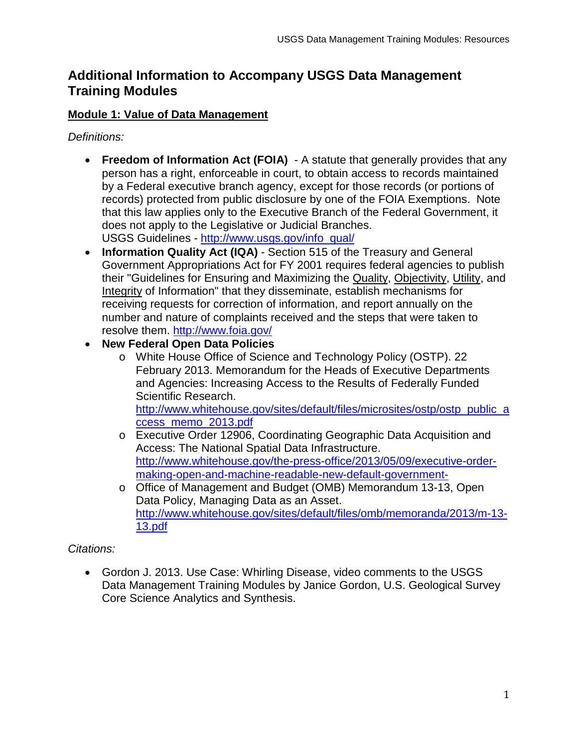# **Additional Information to Accompany USGS Data Management Training Modules**

## **Module 1: Value of Data Management**

*Definitions:* 

- **Freedom of Information Act (FOIA)**  A statute that generally provides that any person has a right, enforceable in court, to obtain access to records maintained by a Federal executive branch agency, except for those records (or portions of records) protected from public disclosure by one of the FOIA Exemptions. Note that this law applies only to the Executive Branch of the Federal Government, it does not apply to the Legislative or Judicial Branches. USGS Guidelines - [http://www.usgs.gov/info\\_qual/](http://www.usgs.gov/info_qual/)
- **Information Quality Act (IQA)** Section 515 of the Treasury and General Government Appropriations Act for FY 2001 requires federal agencies to publish their "Guidelines for Ensuring and Maximizing the Quality, Objectivity, Utility, and Integrity of Information" that they disseminate, establish mechanisms for receiving requests for correction of information, and report annually on the number and nature of complaints received and the steps that were taken to resolve them. <http://www.foia.gov/>
- **New Federal Open Data Policies**
	- o White House Office of Science and Technology Policy (OSTP). 22 February 2013. Memorandum for the Heads of Executive Departments and Agencies: Increasing Access to the Results of Federally Funded Scientific Research.

[http://www.whitehouse.gov/sites/default/files/microsites/ostp/ostp\\_public\\_a](http://www.whitehouse.gov/sites/default/files/microsites/ostp/ostp_public_access_memo_2013.pdf) [ccess\\_memo\\_2013.pdf](http://www.whitehouse.gov/sites/default/files/microsites/ostp/ostp_public_access_memo_2013.pdf)

- o Executive Order 12906, Coordinating Geographic Data Acquisition and Access: The National Spatial Data Infrastructure. [http://www.whitehouse.gov/the-press-office/2013/05/09/executive-order](http://www.whitehouse.gov/the-press-office/2013/05/09/executive-order-making-open-and-machine-readable-new-default-government-)[making-open-and-machine-readable-new-default-government-](http://www.whitehouse.gov/the-press-office/2013/05/09/executive-order-making-open-and-machine-readable-new-default-government-)
- o Office of Management and Budget (OMB) Memorandum 13-13, Open Data Policy, Managing Data as an Asset. [http://www.whitehouse.gov/sites/default/files/omb/memoranda/2013/m-13-](http://www.whitehouse.gov/sites/default/files/omb/memoranda/2013/m-13-13.pdf) [13.pdf](http://www.whitehouse.gov/sites/default/files/omb/memoranda/2013/m-13-13.pdf)

*Citations:*

• Gordon J. 2013. Use Case: Whirling Disease, video comments to the USGS Data Management Training Modules by Janice Gordon, U.S. Geological Survey Core Science Analytics and Synthesis.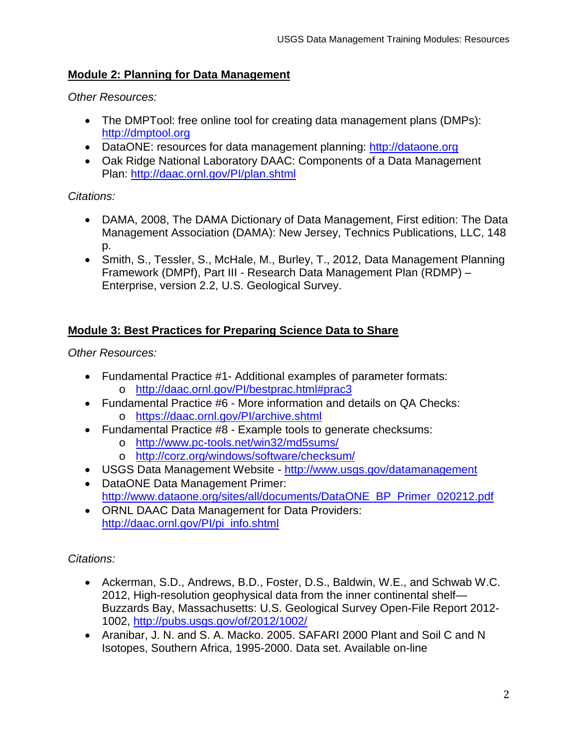## **Module 2: Planning for Data Management**

*Other Resources:*

- The DMPTool: free online tool for creating data management plans (DMPs): [http://dmptool.org](http://dmptool.org/)
- DataONE: resources for data management planning: [http://dataone.org](http://dataone.org/)
- Oak Ridge National Laboratory DAAC: Components of a Data Management Plan: <http://daac.ornl.gov/PI/plan.shtml>

## *Citations:*

- DAMA, 2008, The DAMA Dictionary of Data Management, First edition: The Data Management Association (DAMA): New Jersey, Technics Publications, LLC, 148 p.
- Smith, S., Tessler, S., McHale, M., Burley, T., 2012, Data Management Planning Framework (DMPf), Part III - Research Data Management Plan (RDMP) – Enterprise, version 2.2, U.S. Geological Survey.

# **Module 3: Best Practices for Preparing Science Data to Share**

*Other Resources:* 

- Fundamental Practice #1- Additional examples of parameter formats: o <http://daac.ornl.gov/PI/bestprac.html#prac3>
- Fundamental Practice #6 More information and details on QA Checks: o <https://daac.ornl.gov/PI/archive.shtml>
- Fundamental Practice #8 Example tools to generate checksums:
	- o <http://www.pc-tools.net/win32/md5sums/>
	- o <http://corz.org/windows/software/checksum/>
- USGS Data Management Website <http://www.usgs.gov/datamanagement>
- DataONE Data Management Primer: [http://www.dataone.org/sites/all/documents/DataONE\\_BP\\_Primer\\_020212.pdf](http://www.dataone.org/sites/all/documents/DataONE_BP_Primer_020212.pdf)
- ORNL DAAC Data Management for Data Providers: [http://daac.ornl.gov/PI/pi\\_info.shtml](http://daac.ornl.gov/PI/pi_info.shtml)

*Citations:* 

- Ackerman, S.D., Andrews, B.D., Foster, D.S., Baldwin, W.E., and Schwab W.C. 2012, High-resolution geophysical data from the inner continental shelf— Buzzards Bay, Massachusetts: U.S. Geological Survey Open-File Report 2012- 1002,<http://pubs.usgs.gov/of/2012/1002/>
- Aranibar, J. N. and S. A. Macko. 2005. SAFARI 2000 Plant and Soil C and N Isotopes, Southern Africa, 1995-2000. Data set. Available on-line